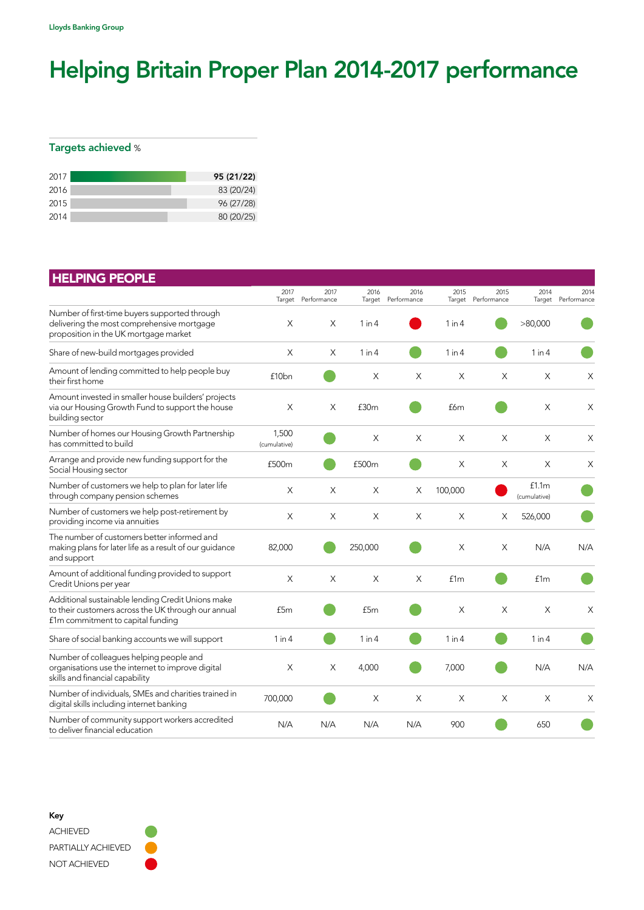## Helping Britain Proper Plan 2014-2017 performance

## Targets achieved %

| 2017 | 95 (21/22) |
|------|------------|
| 2016 | 83 (20/24) |
| 2015 | 96 (27/28) |
| 2014 | 80 (20/25) |

| <b>HELPING PEOPLE</b>                                                                                                                         |                       |                            |                  |                            |            |                            |                       |                     |
|-----------------------------------------------------------------------------------------------------------------------------------------------|-----------------------|----------------------------|------------------|----------------------------|------------|----------------------------|-----------------------|---------------------|
|                                                                                                                                               | 2017                  | 2017<br>Target Performance | 2016             | 2016<br>Target Performance | 2015       | 2015<br>Target Performance | 2014<br>Target        | 2014<br>Performance |
| Number of first-time buyers supported through<br>delivering the most comprehensive mortgage<br>proposition in the UK mortgage market          | $\times$              | X                          | $1$ in $4$       |                            | 1 in 4     |                            | >80,000               |                     |
| Share of new-build mortgages provided                                                                                                         | X                     | X                          | $1$ in $4$       |                            | $1$ in $4$ |                            | 1 in 4                |                     |
| Amount of lending committed to help people buy<br>their first home                                                                            | £10 <sub>bn</sub>     |                            | X                | X                          | X          | X                          | X                     | X                   |
| Amount invested in smaller house builders' projects<br>via our Housing Growth Fund to support the house<br>building sector                    | X                     | X                          | £30 <sub>m</sub> |                            | £6m        |                            | X                     | $\times$            |
| Number of homes our Housing Growth Partnership<br>has committed to build                                                                      | 1,500<br>(cumulative) |                            | X                | X                          | X          | X                          | X                     | X                   |
| Arrange and provide new funding support for the<br>Social Housing sector                                                                      | £500m                 |                            | £500m            |                            | X          | X                          | Χ                     | X                   |
| Number of customers we help to plan for later life<br>through company pension schemes                                                         | X                     | X                          | X                | X                          | 100,000    |                            | f1.1m<br>(cumulative) |                     |
| Number of customers we help post-retirement by<br>providing income via annuities                                                              | X                     | X                          | X                | X                          | $\times$   | X                          | 526,000               |                     |
| The number of customers better informed and<br>making plans for later life as a result of our quidance<br>and support                         | 82,000                |                            | 250,000          |                            | $\times$   | X                          | N/A                   | N/A                 |
| Amount of additional funding provided to support<br>Credit Unions per year                                                                    | $\times$              | X                          | $\times$         | $\times$                   | f1m        |                            | f1m                   |                     |
| Additional sustainable lending Credit Unions make<br>to their customers across the UK through our annual<br>f1m commitment to capital funding | £5m                   |                            | £5m              |                            | $\times$   | X                          | $\times$              | X                   |
| Share of social banking accounts we will support                                                                                              | 1 in 4                |                            | $1$ in $4$       |                            | $1$ in $4$ |                            | $1$ in $4$            |                     |
| Number of colleagues helping people and<br>organisations use the internet to improve digital<br>skills and financial capability               | X                     | X                          | 4,000            |                            | 7,000      |                            | N/A                   | N/A                 |
| Number of individuals, SMEs and charities trained in<br>digital skills including internet banking                                             | 700,000               |                            | X                | X                          | X          | X                          | X                     | Χ                   |
| Number of community support workers accredited<br>to deliver financial education                                                              | N/A                   | N/A                        | N/A              | N/A                        | 900        |                            | 650                   |                     |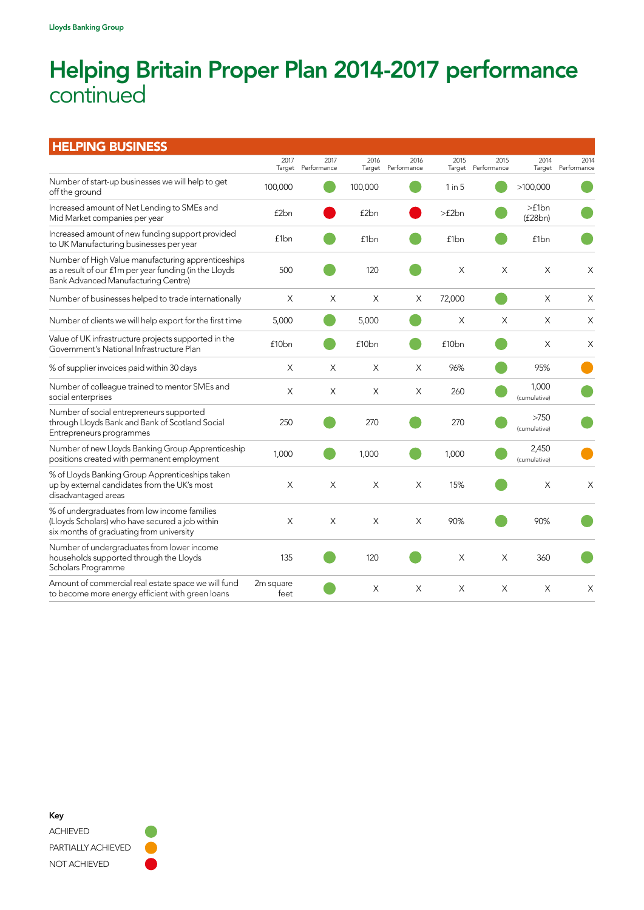## Helping Britain Proper Plan 2014-2017 performance continued

| <b>HELPING BUSINESS</b>                                                                                                                                    |                   |                     |                   |                            |                   |                            |                       |                     |
|------------------------------------------------------------------------------------------------------------------------------------------------------------|-------------------|---------------------|-------------------|----------------------------|-------------------|----------------------------|-----------------------|---------------------|
|                                                                                                                                                            | 2017<br>Target    | 2017<br>Performance | 2016              | 2016<br>Target Performance | 2015              | 2015<br>Target Performance | 2014<br>Target        | 2014<br>Performance |
| Number of start-up businesses we will help to get<br>off the ground                                                                                        | 100,000           |                     | 100,000           |                            | $1$ in $5$        |                            | >100,000              |                     |
| Increased amount of Net Lending to SMEs and<br>Mid Market companies per year                                                                               | £2bn              |                     | £2bn              |                            | >f2bn             |                            | >f1bn<br>(f28bn)      |                     |
| Increased amount of new funding support provided<br>to UK Manufacturing businesses per year                                                                | £1 <sub>bn</sub>  |                     | £1 <sub>bn</sub>  |                            | £1bn              |                            | £1bn                  |                     |
| Number of High Value manufacturing apprenticeships<br>as a result of our f1m per year funding (in the Lloyds<br><b>Bank Advanced Manufacturing Centre)</b> | 500               |                     | 120               |                            | X                 | X                          | X                     | X                   |
| Number of businesses helped to trade internationally                                                                                                       | X                 | X                   | X                 | Χ                          | 72,000            |                            | X                     | $\times$            |
| Number of clients we will help export for the first time                                                                                                   | 5,000             |                     | 5,000             |                            | $\times$          | X                          | X                     | X                   |
| Value of UK infrastructure projects supported in the<br>Government's National Infrastructure Plan                                                          | £10 <sub>bn</sub> |                     | £10 <sub>bn</sub> |                            | £10 <sub>bn</sub> |                            | X                     | X                   |
| % of supplier invoices paid within 30 days                                                                                                                 | X                 | X                   | X                 | X                          | 96%               |                            | 95%                   |                     |
| Number of colleague trained to mentor SMEs and<br>social enterprises                                                                                       | X                 | X                   | X                 | X                          | 260               |                            | 1,000<br>(cumulative) |                     |
| Number of social entrepreneurs supported<br>through Lloyds Bank and Bank of Scotland Social<br>Entrepreneurs programmes                                    | 250               |                     | 270               |                            | 270               |                            | >750<br>(cumulative)  |                     |
| Number of new Lloyds Banking Group Apprenticeship<br>positions created with permanent employment                                                           | 1,000             |                     | 1,000             |                            | 1,000             |                            | 2,450<br>(cumulative) |                     |
| % of Lloyds Banking Group Apprenticeships taken<br>up by external candidates from the UK's most<br>disadvantaged areas                                     | $\times$          | $\times$            | $\times$          | X                          | 15%               |                            | X                     | $\times$            |
| % of undergraduates from low income families<br>(Lloyds Scholars) who have secured a job within<br>six months of graduating from university                | X                 | X                   | X                 | X                          | 90%               |                            | 90%                   |                     |
| Number of undergraduates from lower income<br>households supported through the Lloyds<br>Scholars Programme                                                | 135               |                     | 120               |                            | $\times$          | X                          | 360                   |                     |
| Amount of commercial real estate space we will fund<br>to become more energy efficient with green loans                                                    | 2m square<br>feet |                     | X                 | X                          | $\times$          | $\times$                   | X                     | X                   |